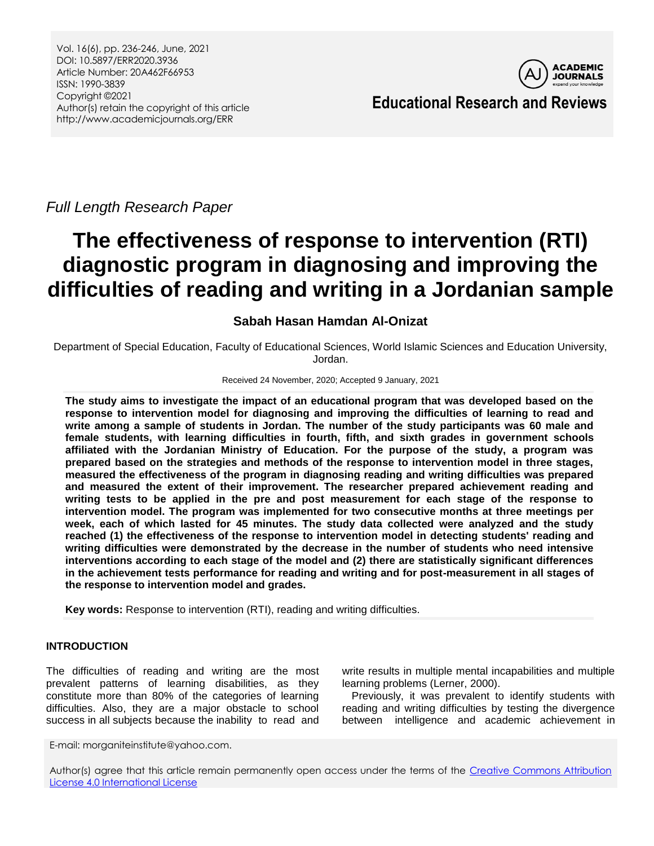Vol. 16(6), pp. 236-246, June, 2021 DOI: 10.5897/ERR2020.3936 Article Number: 20A462F66953 ISSN: 1990-3839 Copyright ©2021 Author(s) retain the copyright of this article http://www.academicjournals.org/ERR



**Educational Research and Reviews**

*Full Length Research Paper*

# **The effectiveness of response to intervention (RTI) diagnostic program in diagnosing and improving the difficulties of reading and writing in a Jordanian sample**

# **Sabah Hasan Hamdan Al-Onizat**

Department of Special Education, Faculty of Educational Sciences, World Islamic Sciences and Education University, Jordan.

# Received 24 November, 2020; Accepted 9 January, 2021

**The study aims to investigate the impact of an educational program that was developed based on the response to intervention model for diagnosing and improving the difficulties of learning to read and write among a sample of students in Jordan. The number of the study participants was 60 male and female students, with learning difficulties in fourth, fifth, and sixth grades in government schools affiliated with the Jordanian Ministry of Education. For the purpose of the study, a program was prepared based on the strategies and methods of the response to intervention model in three stages, measured the effectiveness of the program in diagnosing reading and writing difficulties was prepared and measured the extent of their improvement. The researcher prepared achievement reading and writing tests to be applied in the pre and post measurement for each stage of the response to intervention model. The program was implemented for two consecutive months at three meetings per week, each of which lasted for 45 minutes. The study data collected were analyzed and the study reached (1) the effectiveness of the response to intervention model in detecting students' reading and writing difficulties were demonstrated by the decrease in the number of students who need intensive interventions according to each stage of the model and (2) there are statistically significant differences in the achievement tests performance for reading and writing and for post-measurement in all stages of the response to intervention model and grades.**

**Key words:** Response to intervention (RTI), reading and writing difficulties.

# **INTRODUCTION**

The difficulties of reading and writing are the most prevalent patterns of learning disabilities, as they constitute more than 80% of the categories of learning difficulties. Also, they are a major obstacle to school success in all subjects because the inability to read and

write results in multiple mental incapabilities and multiple learning problems (Lerner, 2000).

Previously, it was prevalent to identify students with reading and writing difficulties by testing the divergence between intelligence and academic achievement in

E-mail: morganiteinstitute@yahoo.com.

Author(s) agree that this article remain permanently open access under the terms of the [Creative Commons Attribution](http://creativecommons.org/licenses/by/4.0/deed.en_US)  [License 4.0 International License](http://creativecommons.org/licenses/by/4.0/deed.en_US)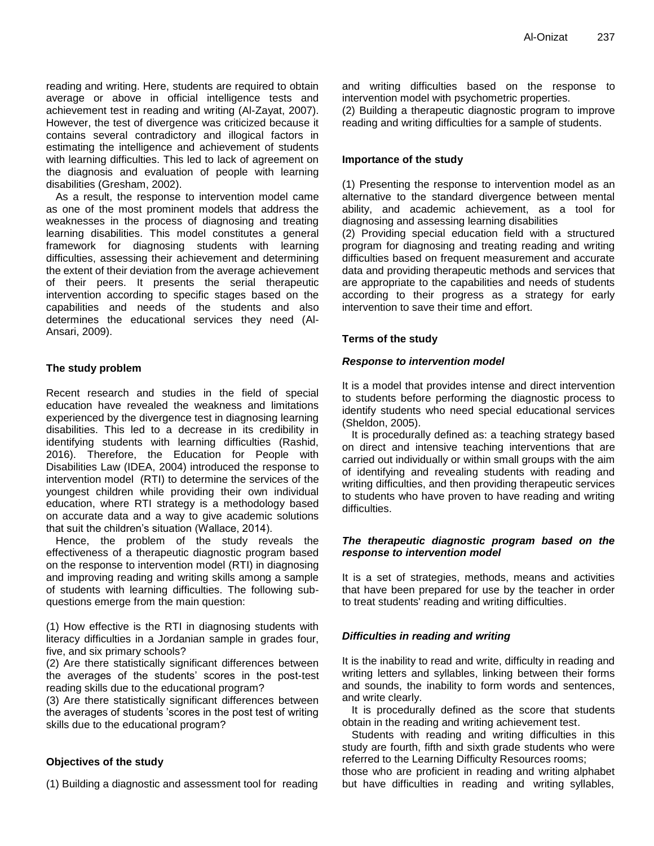reading and writing. Here, students are required to obtain average or above in official intelligence tests and achievement test in reading and writing (Al-Zayat, 2007). However, the test of divergence was criticized because it contains several contradictory and illogical factors in estimating the intelligence and achievement of students with learning difficulties. This led to lack of agreement on the diagnosis and evaluation of people with learning disabilities (Gresham, 2002).

As a result, the response to intervention model came as one of the most prominent models that address the weaknesses in the process of diagnosing and treating learning disabilities. This model constitutes a general framework for diagnosing students with learning difficulties, assessing their achievement and determining the extent of their deviation from the average achievement of their peers. It presents the serial therapeutic intervention according to specific stages based on the capabilities and needs of the students and also determines the educational services they need (Al-Ansari, 2009).

# **The study problem**

Recent research and studies in the field of special education have revealed the weakness and limitations experienced by the divergence test in diagnosing learning disabilities. This led to a decrease in its credibility in identifying students with learning difficulties (Rashid, 2016). Therefore, the Education for People with Disabilities Law (IDEA, 2004) introduced the response to intervention model (RTI) to determine the services of the youngest children while providing their own individual education, where RTI strategy is a methodology based on accurate data and a way to give academic solutions that suit the children's situation (Wallace, 2014).

Hence, the problem of the study reveals the effectiveness of a therapeutic diagnostic program based on the response to intervention model (RTI) in diagnosing and improving reading and writing skills among a sample of students with learning difficulties. The following subquestions emerge from the main question:

(1) How effective is the RTI in diagnosing students with literacy difficulties in a Jordanian sample in grades four, five, and six primary schools?

(2) Are there statistically significant differences between the averages of the students' scores in the post-test reading skills due to the educational program?

(3) Are there statistically significant differences between the averages of students 'scores in the post test of writing skills due to the educational program?

# **Objectives of the study**

(1) Building a diagnostic and assessment tool for reading

and writing difficulties based on the response to intervention model with psychometric properties.

(2) Building a therapeutic diagnostic program to improve reading and writing difficulties for a sample of students.

# **Importance of the study**

(1) Presenting the response to intervention model as an alternative to the standard divergence between mental ability, and academic achievement, as a tool for diagnosing and assessing learning disabilities

(2) Providing special education field with a structured program for diagnosing and treating reading and writing difficulties based on frequent measurement and accurate data and providing therapeutic methods and services that are appropriate to the capabilities and needs of students according to their progress as a strategy for early intervention to save their time and effort.

# **Terms of the study**

# *Response to intervention model*

It is a model that provides intense and direct intervention to students before performing the diagnostic process to identify students who need special educational services (Sheldon, 2005).

It is procedurally defined as: a teaching strategy based on direct and intensive teaching interventions that are carried out individually or within small groups with the aim of identifying and revealing students with reading and writing difficulties, and then providing therapeutic services to students who have proven to have reading and writing difficulties.

# *The therapeutic diagnostic program based on the response to intervention model*

It is a set of strategies, methods, means and activities that have been prepared for use by the teacher in order to treat students' reading and writing difficulties.

# *Difficulties in reading and writing*

It is the inability to read and write, difficulty in reading and writing letters and syllables, linking between their forms and sounds, the inability to form words and sentences, and write clearly.

It is procedurally defined as the score that students obtain in the reading and writing achievement test.

Students with reading and writing difficulties in this study are fourth, fifth and sixth grade students who were referred to the Learning Difficulty Resources rooms;

those who are proficient in reading and writing alphabet but have difficulties in reading and writing syllables,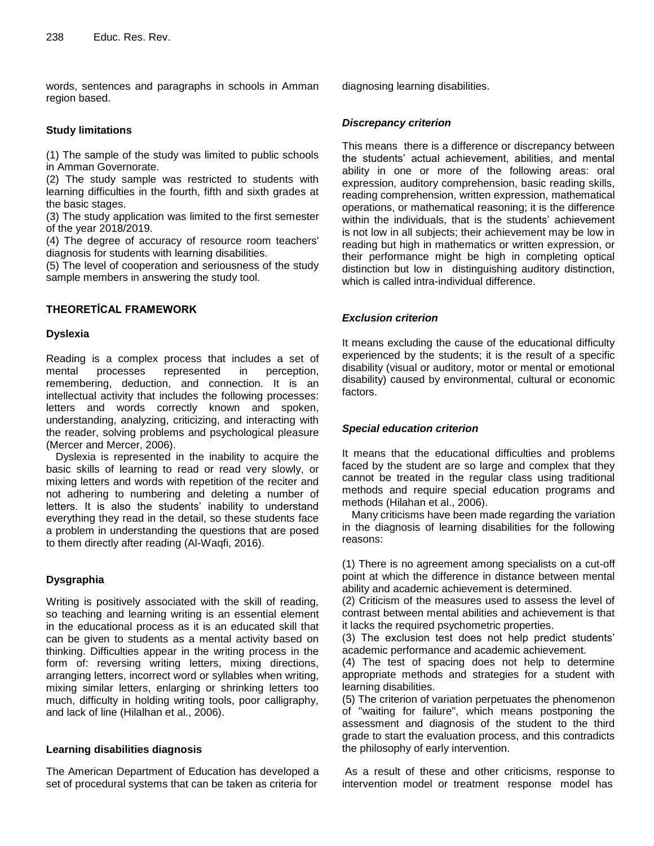words, sentences and paragraphs in schools in Amman region based.

## **Study limitations**

(1) The sample of the study was limited to public schools in Amman Governorate.

(2) The study sample was restricted to students with learning difficulties in the fourth, fifth and sixth grades at the basic stages.

(3) The study application was limited to the first semester of the year 2018/2019.

(4) The degree of accuracy of resource room teachers' diagnosis for students with learning disabilities.

(5) The level of cooperation and seriousness of the study sample members in answering the study tool.

## **THEORETİCAL FRAMEWORK**

#### **Dyslexia**

Reading is a complex process that includes a set of mental processes represented in perception, remembering, deduction, and connection. It is an intellectual activity that includes the following processes: letters and words correctly known and spoken, understanding, analyzing, criticizing, and interacting with the reader, solving problems and psychological pleasure (Mercer and Mercer, 2006).

Dyslexia is represented in the inability to acquire the basic skills of learning to read or read very slowly, or mixing letters and words with repetition of the reciter and not adhering to numbering and deleting a number of letters. It is also the students' inability to understand everything they read in the detail, so these students face a problem in understanding the questions that are posed to them directly after reading (Al-Waqfi, 2016).

# **Dysgraphia**

Writing is positively associated with the skill of reading, so teaching and learning writing is an essential element in the educational process as it is an educated skill that can be given to students as a mental activity based on thinking. Difficulties appear in the writing process in the form of: reversing writing letters, mixing directions, arranging letters, incorrect word or syllables when writing, mixing similar letters, enlarging or shrinking letters too much, difficulty in holding writing tools, poor calligraphy, and lack of line (Hilalhan et al., 2006).

# **Learning disabilities diagnosis**

The American Department of Education has developed a set of procedural systems that can be taken as criteria for diagnosing learning disabilities.

## *Discrepancy criterion*

This means there is a difference or discrepancy between the students' actual achievement, abilities, and mental ability in one or more of the following areas: oral expression, auditory comprehension, basic reading skills, reading comprehension, written expression, mathematical operations, or mathematical reasoning; it is the difference within the individuals, that is the students' achievement is not low in all subjects; their achievement may be low in reading but high in mathematics or written expression, or their performance might be high in completing optical distinction but low in distinguishing auditory distinction, which is called intra-individual difference.

# *Exclusion criterion*

It means excluding the cause of the educational difficulty experienced by the students; it is the result of a specific disability (visual or auditory, motor or mental or emotional disability) caused by environmental, cultural or economic factors.

# *Special education criterion*

It means that the educational difficulties and problems faced by the student are so large and complex that they cannot be treated in the regular class using traditional methods and require special education programs and methods (Hilahan et al., 2006).

Many criticisms have been made regarding the variation in the diagnosis of learning disabilities for the following reasons:

(1) There is no agreement among specialists on a cut-off point at which the difference in distance between mental ability and academic achievement is determined.

(2) Criticism of the measures used to assess the level of contrast between mental abilities and achievement is that it lacks the required psychometric properties.

(3) The exclusion test does not help predict students' academic performance and academic achievement.

(4) The test of spacing does not help to determine appropriate methods and strategies for a student with learning disabilities.

(5) The criterion of variation perpetuates the phenomenon of "waiting for failure", which means postponing the assessment and diagnosis of the student to the third grade to start the evaluation process, and this contradicts the philosophy of early intervention.

As a result of these and other criticisms, response to intervention model or treatment response model has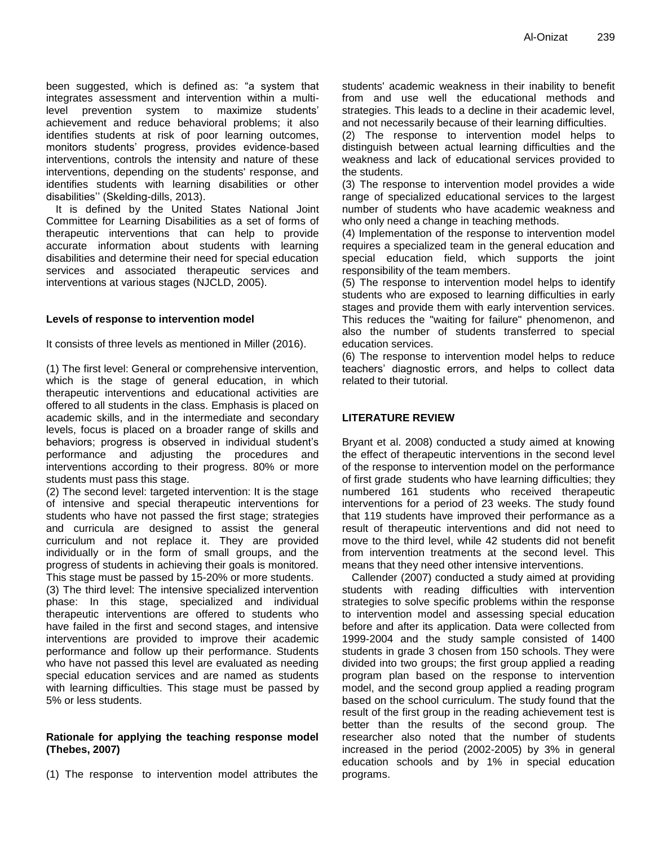been suggested, which is defined as: "a system that integrates assessment and intervention within a multilevel prevention system to maximize students' achievement and reduce behavioral problems; it also identifies students at risk of poor learning outcomes, monitors students' progress, provides evidence-based interventions, controls the intensity and nature of these interventions, depending on the students' response, and identifies students with learning disabilities or other disabilities'' (Skelding-dills, 2013).

It is defined by the United States National Joint Committee for Learning Disabilities as a set of forms of therapeutic interventions that can help to provide accurate information about students with learning disabilities and determine their need for special education services and associated therapeutic services and interventions at various stages (NJCLD, 2005).

#### **Levels of response to intervention model**

It consists of three levels as mentioned in Miller (2016).

(1) The first level: General or comprehensive intervention, which is the stage of general education, in which therapeutic interventions and educational activities are offered to all students in the class. Emphasis is placed on academic skills, and in the intermediate and secondary levels, focus is placed on a broader range of skills and behaviors; progress is observed in individual student's performance and adjusting the procedures and interventions according to their progress. 80% or more students must pass this stage.

(2) The second level: targeted intervention: It is the stage of intensive and special therapeutic interventions for students who have not passed the first stage; strategies and curricula are designed to assist the general curriculum and not replace it. They are provided individually or in the form of small groups, and the progress of students in achieving their goals is monitored. This stage must be passed by 15-20% or more students.

(3) The third level: The intensive specialized intervention phase: In this stage, specialized and individual therapeutic interventions are offered to students who have failed in the first and second stages, and intensive interventions are provided to improve their academic performance and follow up their performance. Students who have not passed this level are evaluated as needing special education services and are named as students with learning difficulties. This stage must be passed by 5% or less students.

#### **Rationale for applying the teaching response model (Thebes, 2007)**

(1) The response to intervention model attributes the

students' academic weakness in their inability to benefit from and use well the educational methods and strategies. This leads to a decline in their academic level, and not necessarily because of their learning difficulties.

(2) The response to intervention model helps to distinguish between actual learning difficulties and the weakness and lack of educational services provided to the students.

(3) The response to intervention model provides a wide range of specialized educational services to the largest number of students who have academic weakness and who only need a change in teaching methods.

(4) Implementation of the response to intervention model requires a specialized team in the general education and special education field, which supports the joint responsibility of the team members.

(5) The response to intervention model helps to identify students who are exposed to learning difficulties in early stages and provide them with early intervention services. This reduces the "waiting for failure" phenomenon, and also the number of students transferred to special education services.

(6) The response to intervention model helps to reduce teachers' diagnostic errors, and helps to collect data related to their tutorial.

# **LITERATURE REVIEW**

Bryant et al. 2008) conducted a study aimed at knowing the effect of therapeutic interventions in the second level of the response to intervention model on the performance of first grade students who have learning difficulties; they numbered 161 students who received therapeutic interventions for a period of 23 weeks. The study found that 119 students have improved their performance as a result of therapeutic interventions and did not need to move to the third level, while 42 students did not benefit from intervention treatments at the second level. This means that they need other intensive interventions.

Callender (2007) conducted a study aimed at providing students with reading difficulties with intervention strategies to solve specific problems within the response to intervention model and assessing special education before and after its application. Data were collected from 1999-2004 and the study sample consisted of 1400 students in grade 3 chosen from 150 schools. They were divided into two groups; the first group applied a reading program plan based on the response to intervention model, and the second group applied a reading program based on the school curriculum. The study found that the result of the first group in the reading achievement test is better than the results of the second group. The researcher also noted that the number of students increased in the period (2002-2005) by 3% in general education schools and by 1% in special education programs.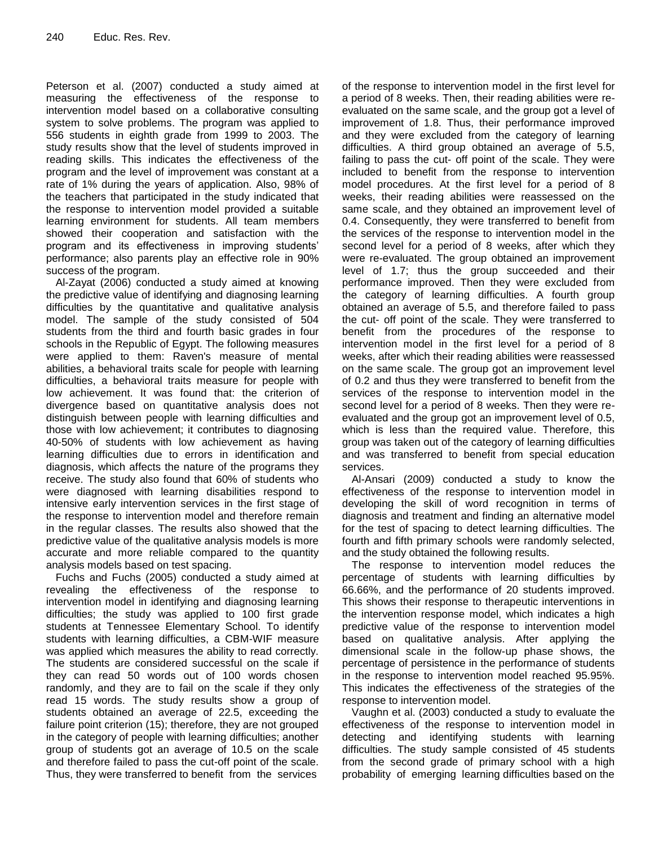Peterson et al. (2007) conducted a study aimed at measuring the effectiveness of the response to intervention model based on a collaborative consulting system to solve problems. The program was applied to 556 students in eighth grade from 1999 to 2003. The study results show that the level of students improved in reading skills. This indicates the effectiveness of the program and the level of improvement was constant at a rate of 1% during the years of application. Also, 98% of the teachers that participated in the study indicated that the response to intervention model provided a suitable learning environment for students. All team members showed their cooperation and satisfaction with the program and its effectiveness in improving students' performance; also parents play an effective role in 90% success of the program.

Al-Zayat (2006) conducted a study aimed at knowing the predictive value of identifying and diagnosing learning difficulties by the quantitative and qualitative analysis model. The sample of the study consisted of 504 students from the third and fourth basic grades in four schools in the Republic of Egypt. The following measures were applied to them: Raven's measure of mental abilities, a behavioral traits scale for people with learning difficulties, a behavioral traits measure for people with low achievement. It was found that: the criterion of divergence based on quantitative analysis does not distinguish between people with learning difficulties and those with low achievement; it contributes to diagnosing 40-50% of students with low achievement as having learning difficulties due to errors in identification and diagnosis, which affects the nature of the programs they receive. The study also found that 60% of students who were diagnosed with learning disabilities respond to intensive early intervention services in the first stage of the response to intervention model and therefore remain in the regular classes. The results also showed that the predictive value of the qualitative analysis models is more accurate and more reliable compared to the quantity analysis models based on test spacing.

Fuchs and Fuchs (2005) conducted a study aimed at revealing the effectiveness of the response to intervention model in identifying and diagnosing learning difficulties; the study was applied to 100 first grade students at Tennessee Elementary School. To identify students with learning difficulties, a CBM-WIF measure was applied which measures the ability to read correctly. The students are considered successful on the scale if they can read 50 words out of 100 words chosen randomly, and they are to fail on the scale if they only read 15 words. The study results show a group of students obtained an average of 22.5, exceeding the failure point criterion (15); therefore, they are not grouped in the category of people with learning difficulties; another group of students got an average of 10.5 on the scale and therefore failed to pass the cut-off point of the scale. Thus, they were transferred to benefit from the services

of the response to intervention model in the first level for a period of 8 weeks. Then, their reading abilities were reevaluated on the same scale, and the group got a level of improvement of 1.8. Thus, their performance improved and they were excluded from the category of learning difficulties. A third group obtained an average of 5.5, failing to pass the cut- off point of the scale. They were included to benefit from the response to intervention model procedures. At the first level for a period of 8 weeks, their reading abilities were reassessed on the same scale, and they obtained an improvement level of 0.4. Consequently, they were transferred to benefit from the services of the response to intervention model in the second level for a period of 8 weeks, after which they were re-evaluated. The group obtained an improvement level of 1.7; thus the group succeeded and their performance improved. Then they were excluded from the category of learning difficulties. A fourth group obtained an average of 5.5, and therefore failed to pass the cut- off point of the scale. They were transferred to benefit from the procedures of the response to intervention model in the first level for a period of 8 weeks, after which their reading abilities were reassessed on the same scale. The group got an improvement level of 0.2 and thus they were transferred to benefit from the services of the response to intervention model in the second level for a period of 8 weeks. Then they were reevaluated and the group got an improvement level of 0.5, which is less than the required value. Therefore, this group was taken out of the category of learning difficulties and was transferred to benefit from special education services.

Al-Ansari (2009) conducted a study to know the effectiveness of the response to intervention model in developing the skill of word recognition in terms of diagnosis and treatment and finding an alternative model for the test of spacing to detect learning difficulties. The fourth and fifth primary schools were randomly selected, and the study obtained the following results.

The response to intervention model reduces the percentage of students with learning difficulties by 66.66%, and the performance of 20 students improved. This shows their response to therapeutic interventions in the intervention response model, which indicates a high predictive value of the response to intervention model based on qualitative analysis. After applying the dimensional scale in the follow-up phase shows, the percentage of persistence in the performance of students in the response to intervention model reached 95.95%. This indicates the effectiveness of the strategies of the response to intervention model.

Vaughn et al. (2003) conducted a study to evaluate the effectiveness of the response to intervention model in detecting and identifying students with learning difficulties. The study sample consisted of 45 students from the second grade of primary school with a high probability of emerging learning difficulties based on the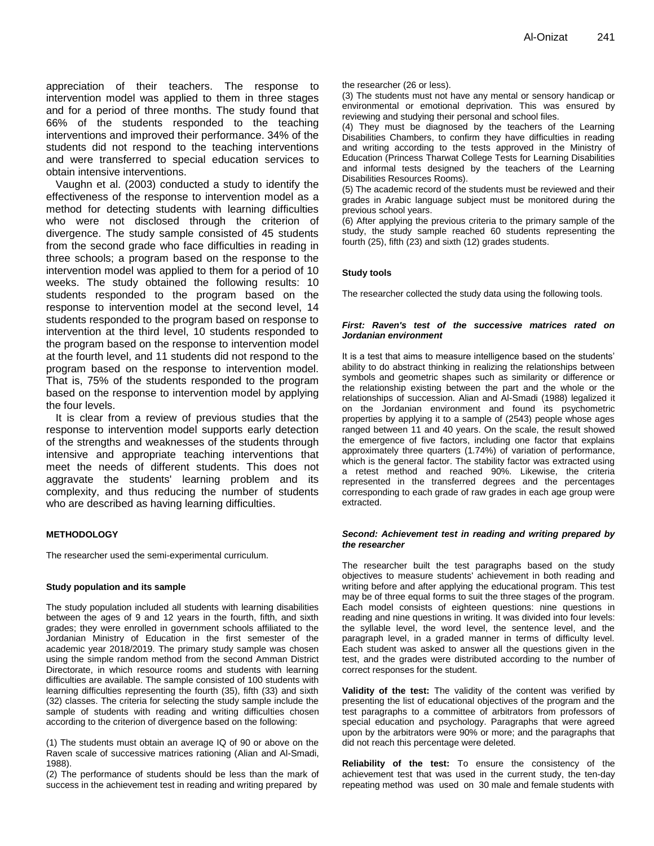appreciation of their teachers. The response to intervention model was applied to them in three stages and for a period of three months. The study found that 66% of the students responded to the teaching interventions and improved their performance. 34% of the students did not respond to the teaching interventions and were transferred to special education services to obtain intensive interventions.

Vaughn et al. (2003) conducted a study to identify the effectiveness of the response to intervention model as a method for detecting students with learning difficulties who were not disclosed through the criterion of divergence. The study sample consisted of 45 students from the second grade who face difficulties in reading in three schools; a program based on the response to the intervention model was applied to them for a period of 10 weeks. The study obtained the following results: 10 students responded to the program based on the response to intervention model at the second level, 14 students responded to the program based on response to intervention at the third level, 10 students responded to the program based on the response to intervention model at the fourth level, and 11 students did not respond to the program based on the response to intervention model. That is, 75% of the students responded to the program based on the response to intervention model by applying the four levels.

It is clear from a review of previous studies that the response to intervention model supports early detection of the strengths and weaknesses of the students through intensive and appropriate teaching interventions that meet the needs of different students. This does not aggravate the students' learning problem and its complexity, and thus reducing the number of students who are described as having learning difficulties.

#### **METHODOLOGY**

The researcher used the semi-experimental curriculum.

#### **Study population and its sample**

The study population included all students with learning disabilities between the ages of 9 and 12 years in the fourth, fifth, and sixth grades; they were enrolled in government schools affiliated to the Jordanian Ministry of Education in the first semester of the academic year 2018/2019. The primary study sample was chosen using the simple random method from the second Amman District Directorate, in which resource rooms and students with learning difficulties are available. The sample consisted of 100 students with learning difficulties representing the fourth (35), fifth (33) and sixth (32) classes. The criteria for selecting the study sample include the sample of students with reading and writing difficulties chosen according to the criterion of divergence based on the following:

(1) The students must obtain an average IQ of 90 or above on the Raven scale of successive matrices rationing (Alian and Al-Smadi, 1988).

(2) The performance of students should be less than the mark of success in the achievement test in reading and writing prepared by

the researcher (26 or less).

(3) The students must not have any mental or sensory handicap or environmental or emotional deprivation. This was ensured by reviewing and studying their personal and school files.

(4) They must be diagnosed by the teachers of the Learning Disabilities Chambers, to confirm they have difficulties in reading and writing according to the tests approved in the Ministry of Education (Princess Tharwat College Tests for Learning Disabilities and informal tests designed by the teachers of the Learning Disabilities Resources Rooms).

(5) The academic record of the students must be reviewed and their grades in Arabic language subject must be monitored during the previous school years.

(6) After applying the previous criteria to the primary sample of the study, the study sample reached 60 students representing the fourth (25), fifth (23) and sixth (12) grades students.

#### **Study tools**

The researcher collected the study data using the following tools.

#### *First: Raven's test of the successive matrices rated on Jordanian environment*

It is a test that aims to measure intelligence based on the students' ability to do abstract thinking in realizing the relationships between symbols and geometric shapes such as similarity or difference or the relationship existing between the part and the whole or the relationships of succession. Alian and Al-Smadi (1988) legalized it on the Jordanian environment and found its psychometric properties by applying it to a sample of (2543) people whose ages ranged between 11 and 40 years. On the scale, the result showed the emergence of five factors, including one factor that explains approximately three quarters (1.74%) of variation of performance, which is the general factor. The stability factor was extracted using a retest method and reached 90%. Likewise, the criteria represented in the transferred degrees and the percentages corresponding to each grade of raw grades in each age group were extracted.

#### *Second: Achievement test in reading and writing prepared by the researcher*

The researcher built the test paragraphs based on the study objectives to measure students' achievement in both reading and writing before and after applying the educational program. This test may be of three equal forms to suit the three stages of the program. Each model consists of eighteen questions: nine questions in reading and nine questions in writing. It was divided into four levels: the syllable level, the word level, the sentence level, and the paragraph level, in a graded manner in terms of difficulty level. Each student was asked to answer all the questions given in the test, and the grades were distributed according to the number of correct responses for the student.

**Validity of the test:** The validity of the content was verified by presenting the list of educational objectives of the program and the test paragraphs to a committee of arbitrators from professors of special education and psychology. Paragraphs that were agreed upon by the arbitrators were 90% or more; and the paragraphs that did not reach this percentage were deleted.

**Reliability of the test:** To ensure the consistency of the achievement test that was used in the current study, the ten-day repeating method was used on 30 male and female students with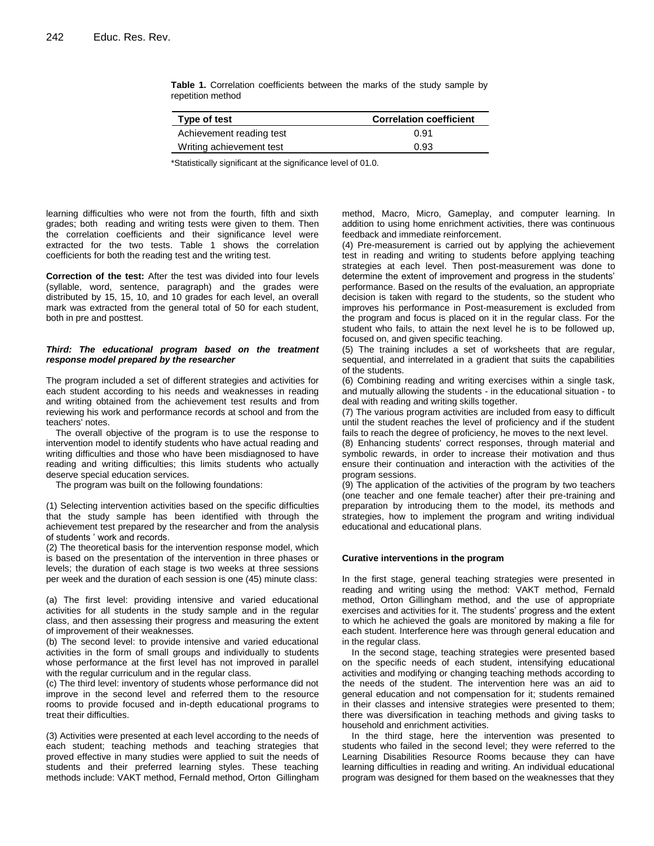| Type of test             | <b>Correlation coefficient</b> |
|--------------------------|--------------------------------|
| Achievement reading test | 0.91                           |
| Writing achievement test | 0.93                           |

**Table 1.** Correlation coefficients between the marks of the study sample by repetition method

\*Statistically significant at the significance level of 01.0.

learning difficulties who were not from the fourth, fifth and sixth grades; both reading and writing tests were given to them. Then the correlation coefficients and their significance level were extracted for the two tests. Table 1 shows the correlation coefficients for both the reading test and the writing test.

**Correction of the test:** After the test was divided into four levels (syllable, word, sentence, paragraph) and the grades were distributed by 15, 15, 10, and 10 grades for each level, an overall mark was extracted from the general total of 50 for each student, both in pre and posttest.

#### *Third: The educational program based on the treatment response model prepared by the researcher*

The program included a set of different strategies and activities for each student according to his needs and weaknesses in reading and writing obtained from the achievement test results and from reviewing his work and performance records at school and from the teachers' notes.

The overall objective of the program is to use the response to intervention model to identify students who have actual reading and writing difficulties and those who have been misdiagnosed to have reading and writing difficulties; this limits students who actually deserve special education services.

The program was built on the following foundations:

(1) Selecting intervention activities based on the specific difficulties that the study sample has been identified with through the achievement test prepared by the researcher and from the analysis of students ' work and records.

(2) The theoretical basis for the intervention response model, which is based on the presentation of the intervention in three phases or levels; the duration of each stage is two weeks at three sessions per week and the duration of each session is one (45) minute class:

(a) The first level: providing intensive and varied educational activities for all students in the study sample and in the regular class, and then assessing their progress and measuring the extent of improvement of their weaknesses.

(b) The second level: to provide intensive and varied educational activities in the form of small groups and individually to students whose performance at the first level has not improved in parallel with the regular curriculum and in the regular class.

(c) The third level: inventory of students whose performance did not improve in the second level and referred them to the resource rooms to provide focused and in-depth educational programs to treat their difficulties.

(3) Activities were presented at each level according to the needs of each student; teaching methods and teaching strategies that proved effective in many studies were applied to suit the needs of students and their preferred learning styles. These teaching methods include: VAKT method, Fernald method, Orton Gillingham

method, Macro, Micro, Gameplay, and computer learning. In addition to using home enrichment activities, there was continuous feedback and immediate reinforcement.

(4) Pre-measurement is carried out by applying the achievement test in reading and writing to students before applying teaching strategies at each level. Then post-measurement was done to determine the extent of improvement and progress in the students' performance. Based on the results of the evaluation, an appropriate decision is taken with regard to the students, so the student who improves his performance in Post-measurement is excluded from the program and focus is placed on it in the regular class. For the student who fails, to attain the next level he is to be followed up, focused on, and given specific teaching.

(5) The training includes a set of worksheets that are regular, sequential, and interrelated in a gradient that suits the capabilities of the students.

(6) Combining reading and writing exercises within a single task, and mutually allowing the students - in the educational situation - to deal with reading and writing skills together.

(7) The various program activities are included from easy to difficult until the student reaches the level of proficiency and if the student fails to reach the degree of proficiency, he moves to the next level.

(8) Enhancing students' correct responses, through material and symbolic rewards, in order to increase their motivation and thus ensure their continuation and interaction with the activities of the program sessions.

(9) The application of the activities of the program by two teachers (one teacher and one female teacher) after their pre-training and preparation by introducing them to the model, its methods and strategies, how to implement the program and writing individual educational and educational plans.

#### **Curative interventions in the program**

In the first stage, general teaching strategies were presented in reading and writing using the method: VAKT method, Fernald method, Orton Gillingham method, and the use of appropriate exercises and activities for it. The students' progress and the extent to which he achieved the goals are monitored by making a file for each student. Interference here was through general education and in the regular class.

In the second stage, teaching strategies were presented based on the specific needs of each student, intensifying educational activities and modifying or changing teaching methods according to the needs of the student. The intervention here was an aid to general education and not compensation for it; students remained in their classes and intensive strategies were presented to them; there was diversification in teaching methods and giving tasks to household and enrichment activities.

In the third stage, here the intervention was presented to students who failed in the second level; they were referred to the Learning Disabilities Resource Rooms because they can have learning difficulties in reading and writing. An individual educational program was designed for them based on the weaknesses that they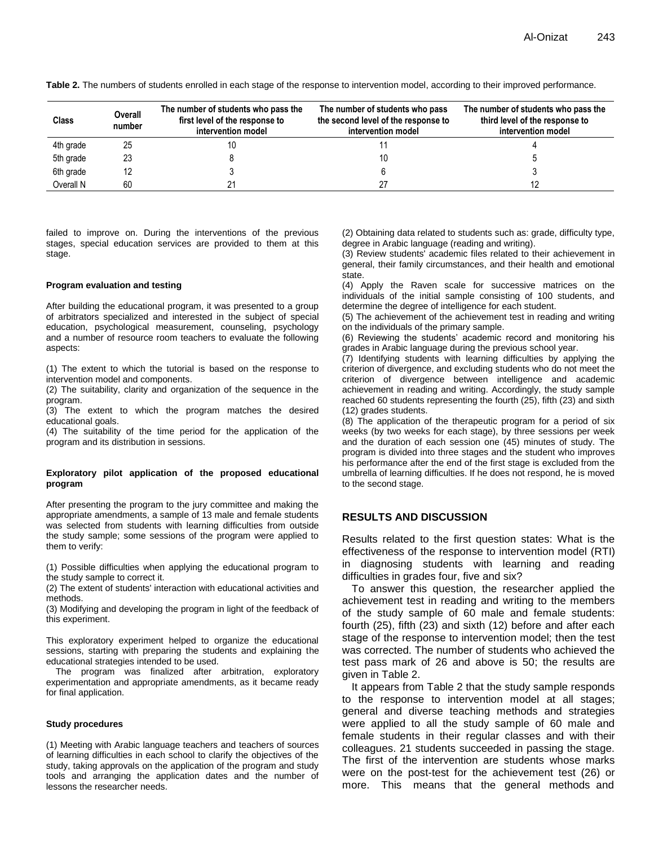| Class     | Overall<br>number | The number of students who pass the<br>first level of the response to<br>intervention model | The number of students who pass<br>the second level of the response to<br>intervention model | The number of students who pass the<br>third level of the response to<br>intervention model |  |  |  |  |
|-----------|-------------------|---------------------------------------------------------------------------------------------|----------------------------------------------------------------------------------------------|---------------------------------------------------------------------------------------------|--|--|--|--|
| 4th grade | 25                |                                                                                             |                                                                                              |                                                                                             |  |  |  |  |
| 5th grade | 23                |                                                                                             | 10                                                                                           |                                                                                             |  |  |  |  |
| 6th grade | 12                |                                                                                             |                                                                                              |                                                                                             |  |  |  |  |
| Overall N | 60                | 21                                                                                          | 27                                                                                           |                                                                                             |  |  |  |  |

**Table 2.** The numbers of students enrolled in each stage of the response to intervention model, according to their improved performance.

failed to improve on. During the interventions of the previous stages, special education services are provided to them at this stage.

#### **Program evaluation and testing**

After building the educational program, it was presented to a group of arbitrators specialized and interested in the subject of special education, psychological measurement, counseling, psychology and a number of resource room teachers to evaluate the following aspects:

(1) The extent to which the tutorial is based on the response to intervention model and components.

(2) The suitability, clarity and organization of the sequence in the program.

(3) The extent to which the program matches the desired educational goals.

(4) The suitability of the time period for the application of the program and its distribution in sessions.

#### **Exploratory pilot application of the proposed educational program**

After presenting the program to the jury committee and making the appropriate amendments, a sample of 13 male and female students was selected from students with learning difficulties from outside the study sample; some sessions of the program were applied to them to verify:

(1) Possible difficulties when applying the educational program to the study sample to correct it.

(2) The extent of students' interaction with educational activities and methods.

(3) Modifying and developing the program in light of the feedback of this experiment.

This exploratory experiment helped to organize the educational sessions, starting with preparing the students and explaining the educational strategies intended to be used.

The program was finalized after arbitration, exploratory experimentation and appropriate amendments, as it became ready for final application.

#### **Study procedures**

(1) Meeting with Arabic language teachers and teachers of sources of learning difficulties in each school to clarify the objectives of the study, taking approvals on the application of the program and study tools and arranging the application dates and the number of lessons the researcher needs.

(2) Obtaining data related to students such as: grade, difficulty type, degree in Arabic language (reading and writing).

(3) Review students' academic files related to their achievement in general, their family circumstances, and their health and emotional state.

(4) Apply the Raven scale for successive matrices on the individuals of the initial sample consisting of 100 students, and determine the degree of intelligence for each student.

(5) The achievement of the achievement test in reading and writing on the individuals of the primary sample.

(6) Reviewing the students' academic record and monitoring his grades in Arabic language during the previous school year.

(7) Identifying students with learning difficulties by applying the criterion of divergence, and excluding students who do not meet the criterion of divergence between intelligence and academic achievement in reading and writing. Accordingly, the study sample reached 60 students representing the fourth (25), fifth (23) and sixth (12) grades students.

(8) The application of the therapeutic program for a period of six weeks (by two weeks for each stage), by three sessions per week and the duration of each session one (45) minutes of study. The program is divided into three stages and the student who improves his performance after the end of the first stage is excluded from the umbrella of learning difficulties. If he does not respond, he is moved to the second stage.

#### **RESULTS AND DISCUSSION**

Results related to the first question states: What is the effectiveness of the response to intervention model (RTI) in diagnosing students with learning and reading difficulties in grades four, five and six?

To answer this question, the researcher applied the achievement test in reading and writing to the members of the study sample of 60 male and female students: fourth (25), fifth (23) and sixth (12) before and after each stage of the response to intervention model; then the test was corrected. The number of students who achieved the test pass mark of 26 and above is 50; the results are given in Table 2.

It appears from Table 2 that the study sample responds to the response to intervention model at all stages; general and diverse teaching methods and strategies were applied to all the study sample of 60 male and female students in their regular classes and with their colleagues. 21 students succeeded in passing the stage. The first of the intervention are students whose marks were on the post-test for the achievement test (26) or more. This means that the general methods and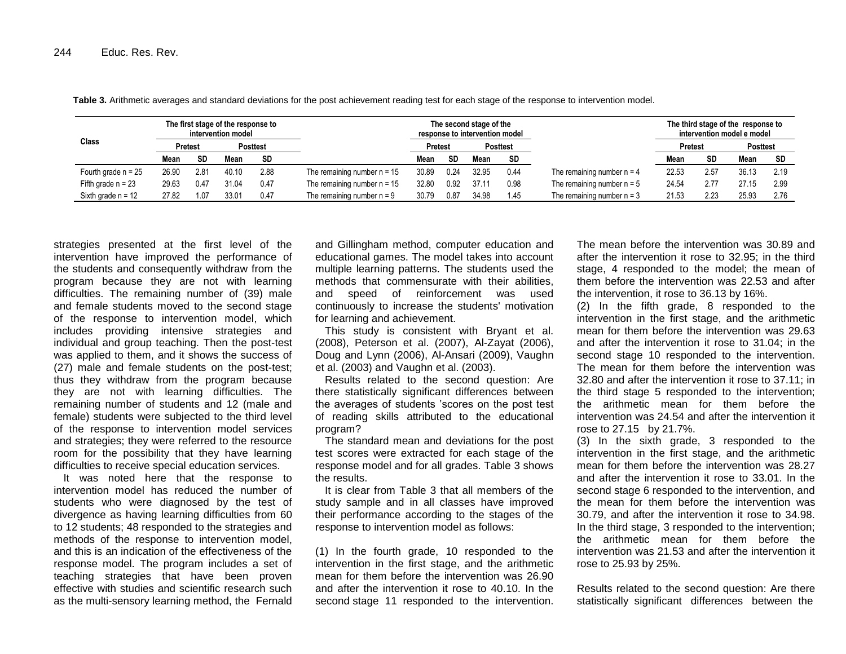| Class                 |                |      | The first stage of the response to<br>intervention model |           |                               |         |           | The second stage of the<br>response to intervention model |           |                              |         |           |                 | The third stage of the response to<br>intervention model e model |  |
|-----------------------|----------------|------|----------------------------------------------------------|-----------|-------------------------------|---------|-----------|-----------------------------------------------------------|-----------|------------------------------|---------|-----------|-----------------|------------------------------------------------------------------|--|
|                       | <b>Pretest</b> |      | <b>Posttest</b>                                          |           |                               | Pretest |           | <b>Posttest</b>                                           |           |                              | Pretest |           | <b>Posttest</b> |                                                                  |  |
|                       | Mean           | SD   | Mean                                                     | <b>SD</b> |                               | Mean    | <b>SD</b> | Mean                                                      | <b>SD</b> |                              | Mean    | <b>SD</b> | Mean            | <b>SD</b>                                                        |  |
| Fourth grade $n = 25$ | 26.90          | 2.81 | 40.10                                                    | 2.88      | The remaining number $n = 15$ | 30.89   | 0.24      | 32.95                                                     | 0.44      | The remaining number $n = 4$ | 22.53   | 2.57      | 36.13           | 2.19                                                             |  |
| Fifth grade $n = 23$  | 29.63          | 0.47 | 31.04                                                    | 0.47      | The remaining number $n = 15$ | 32.80   | 0.92      | 37.11                                                     | 0.98      | The remaining number $n = 5$ | 24.54   | 2.77      | 27.15           | 2.99                                                             |  |
| Sixth grade $n = 12$  | 27.82          | 1.07 | 33.01                                                    | 0.47      | The remaining number $n = 9$  | 30.79   | 0.87      | 34.98                                                     | 1.45      | The remaining number $n = 3$ | 21.53   | 2.23      | 25.93           | 2.76                                                             |  |

**Table 3.** Arithmetic averages and standard deviations for the post achievement reading test for each stage of the response to intervention model.

strategies presented at the first level of the intervention have improved the performance of the students and consequently withdraw from the program because they are not with learning difficulties. The remaining number of (39) male and female students moved to the second stage of the response to intervention model, which includes providing intensive strategies and individual and group teaching. Then the post-test was applied to them, and it shows the success of (27) male and female students on the post-test; thus they withdraw from the program because they are not with learning difficulties. The remaining number of students and 12 (male and female) students were subjected to the third level of the response to intervention model services and strategies; they were referred to the resource room for the possibility that they have learning difficulties to receive special education services.

It was noted here that the response to intervention model has reduced the number of students who were diagnosed by the test of divergence as having learning difficulties from 60 to 12 students; 48 responded to the strategies and methods of the response to intervention model, and this is an indication of the effectiveness of the response model. The program includes a set of teaching strategies that have been proven effective with studies and scientific research such as the multi-sensory learning method, the Fernald

and Gillingham method, computer education and educational games. The model takes into account multiple learning patterns. The students used the methods that commensurate with their abilities, and speed of reinforcement was used continuously to increase the students' motivation for learning and achievement.

This study is consistent with Bryant et al. (2008), Peterson et al. (2007), Al-Zayat (2006), Doug and Lynn (2006), Al-Ansari (2009), Vaughn et al. (2003) and Vaughn et al. (2003).

Results related to the second question: Are there statistically significant differences between the averages of students 'scores on the post test of reading skills attributed to the educational program?

The standard mean and deviations for the post test scores were extracted for each stage of the response model and for all grades. Table 3 shows the results.

It is clear from Table 3 that all members of the study sample and in all classes have improved their performance according to the stages of the response to intervention model as follows:

(1) In the fourth grade, 10 responded to the intervention in the first stage, and the arithmetic mean for them before the intervention was 26.90 and after the intervention it rose to 40.10. In the second stage 11 responded to the intervention. The mean before the intervention was 30.89 and after the intervention it rose to 32.95; in the third stage, 4 responded to the model; the mean of them before the intervention was 22.53 and after the intervention, it rose to 36.13 by 16%.

(2) In the fifth grade, 8 responded to the intervention in the first stage, and the arithmetic mean for them before the intervention was 29.63 and after the intervention it rose to 31.04; in the second stage 10 responded to the intervention. The mean for them before the intervention was 32.80 and after the intervention it rose to 37.11; in the third stage 5 responded to the intervention; the arithmetic mean for them before the intervention was 24.54 and after the intervention it rose to 27.15 by 21.7%.

(3) In the sixth grade, 3 responded to the intervention in the first stage, and the arithmetic mean for them before the intervention was 28.27 and after the intervention it rose to 33.01. In the second stage 6 responded to the intervention, and the mean for them before the intervention was 30.79, and after the intervention it rose to 34.98. In the third stage, 3 responded to the intervention; the arithmetic mean for them before the intervention was 21.53 and after the intervention it rose to 25.93 by 25%.

Results related to the second question: Are there statistically significant differences between the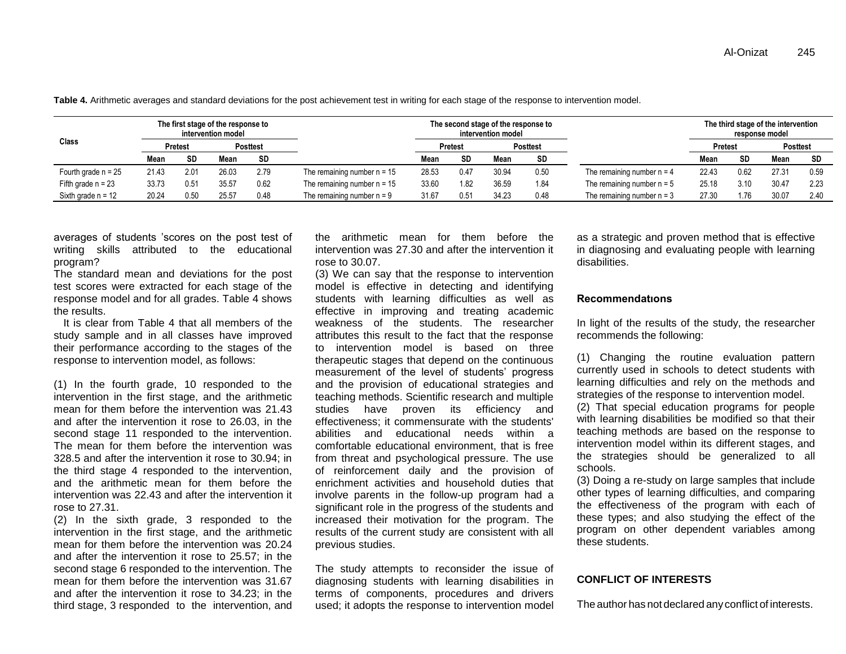| Class                 |         |      | The first stage of the response to<br>intervention model |      |                               |       |               | The second stage of the response to<br>intervention model |                 |                              |                | The third stage of the intervention<br>response model |                 |      |  |
|-----------------------|---------|------|----------------------------------------------------------|------|-------------------------------|-------|---------------|-----------------------------------------------------------|-----------------|------------------------------|----------------|-------------------------------------------------------|-----------------|------|--|
|                       | Pretest |      | <b>Posttest</b>                                          |      |                               |       | Pretest       |                                                           | <b>Posttest</b> |                              | <b>Pretest</b> |                                                       | <b>Posttest</b> |      |  |
|                       | Mean    | SD   | Mean                                                     | SD   |                               | Mean  | SD            | Mean                                                      | <b>SD</b>       |                              | Mean           | <b>SD</b>                                             | Mean            | SD   |  |
| Fourth grade $n = 25$ | 21.43   | 2.01 | 26.03                                                    | 2.79 | The remaining number $n = 15$ | 28.53 | 0.47          | 30.94                                                     | 0.50            | The remaining number $n = 4$ | 22.43          | 0.62                                                  | 27.31           | 0.59 |  |
| Fifth grade $n = 23$  | 33.73   | 0.51 | 35.57                                                    | 0.62 | The remaining number $n = 15$ | 33.60 | l.82          | 36.59                                                     | 1.84            | The remaining number $n = 5$ | 25.18          | 3.10                                                  | 30.47           | 2.23 |  |
| Sixth grade $n = 12$  | 20.24   | 0.50 | 25.57                                                    | 0.48 | The remaining number $n = 9$  | 31.67 | $0.5^{\circ}$ | 34.23                                                     | 0.48            | The remaining number $n = 3$ | 27.30          | 1.76                                                  | 30.07           | 2.40 |  |

**Table 4.** Arithmetic averages and standard deviations for the post achievement test in writing for each stage of the response to intervention model.

averages of students 'scores on the post test of writing skills attributed to the educational program?

The standard mean and deviations for the post test scores were extracted for each stage of the response model and for all grades. Table 4 shows the results.

It is clear from Table 4 that all members of the study sample and in all classes have improved their performance according to the stages of the response to intervention model, as follows:

(1) In the fourth grade, 10 responded to the intervention in the first stage, and the arithmetic mean for them before the intervention was 21.43 and after the intervention it rose to 26.03, in the second stage 11 responded to the intervention. The mean for them before the intervention was 328.5 and after the intervention it rose to 30.94; in the third stage 4 responded to the intervention, and the arithmetic mean for them before the intervention was 22.43 and after the intervention it rose to 27.31.

(2) In the sixth grade, 3 responded to the intervention in the first stage, and the arithmetic mean for them before the intervention was 20.24 and after the intervention it rose to 25.57; in the second stage 6 responded to the intervention. The mean for them before the intervention was 31.67 and after the intervention it rose to 34.23; in the third stage, 3 responded to the intervention, and

the arithmetic mean for them before the intervention was 27.30 and after the intervention it rose to 30.07.

(3) We can say that the response to intervention model is effective in detecting and identifying students with learning difficulties as well as effective in improving and treating academic weakness of the students. The researcher attributes this result to the fact that the response to intervention model is based on three therapeutic stages that depend on the continuous measurement of the level of students' progress and the provision of educational strategies and teaching methods. Scientific research and multiple studies have proven its efficiency and effectiveness; it commensurate with the students' abilities and educational needs within a comfortable educational environment, that is free from threat and psychological pressure. The use of reinforcement daily and the provision of enrichment activities and household duties that involve parents in the follow-up program had a significant role in the progress of the students and increased their motivation for the program. The results of the current study are consistent with all previous studies.

The study attempts to reconsider the issue of diagnosing students with learning disabilities in terms of components, procedures and drivers used; it adopts the response to intervention model as a strategic and proven method that is effective in diagnosing and evaluating people with learning disabilities.

#### **Recommendatıons**

In light of the results of the study, the researcher recommends the following:

(1) Changing the routine evaluation pattern currently used in schools to detect students with learning difficulties and rely on the methods and strategies of the response to intervention model.

(2) That special education programs for people with learning disabilities be modified so that their teaching methods are based on the response to intervention model within its different stages, and the strategies should be generalized to all schools.

(3) Doing a re-study on large samples that include other types of learning difficulties, and comparing the effectiveness of the program with each of these types; and also studying the effect of the program on other dependent variables among these students.

## **CONFLICT OF INTERESTS**

The author has not declared any conflict of interests.